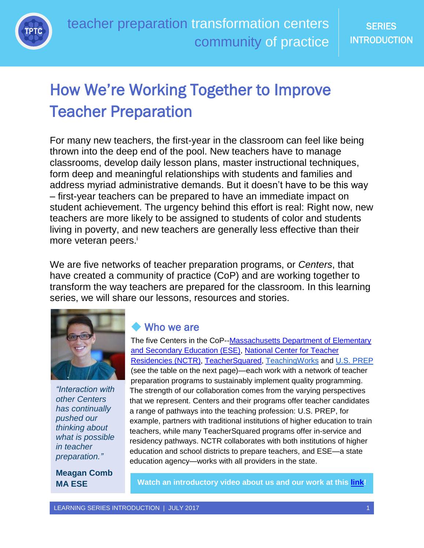

# How We're Working Together to Improve Teacher Preparation

For many new teachers, the first-year in the classroom can feel like being thrown into the deep end of the pool. New teachers have to manage classrooms, develop daily lesson plans, master instructional techniques, form deep and meaningful relationships with students and families and address myriad administrative demands. But it doesn't have to be this way – first-year teachers can be prepared to have an immediate impact on student achievement. The urgency behind this effort is real: Right now, new teachers are more likely to be assigned to students of color and students living in poverty, and new teachers are generally less effective than their more veteran peers.<sup>i</sup>

We are five networks of teacher preparation programs, or *Centers*, that have created a community of practice (CoP) and are working together to transform the way teachers are prepared for the classroom. In this learning series, we will share our lessons, resources and stories.



*"Interaction with other Centers has continually pushed our thinking about what is possible in teacher preparation."*

**Meagan Comb**

### Who we are

The five Centers in the CoP--Massachusetts Department of Elementary [and Secondary Education](http://www.doe.mass.edu/edprep/EPIC/) (ESE), [National Center for Teacher](https://nctresidencies.org/)  [Residencies \(NCTR\),](https://nctresidencies.org/) [TeacherSquared,](https://www.teachersquared.org/) [TeachingWorks](http://www.teachingworks.org/) and [U.S. PREP](http://www.usprepnationalcenter.com/) (see the table on the next page)—each work with a network of teacher preparation programs to sustainably implement quality programming. The strength of our collaboration comes from the varying perspectives that we represent. Centers and their programs offer teacher candidates a range of pathways into the teaching profession: U.S. PREP, for example, partners with traditional institutions of higher education to train teachers, while many TeacherSquared programs offer in-service and residency pathways. NCTR collaborates with both institutions of higher education and school districts to prepare teachers, and ESE—a state education agency—works with all providers in the state.

**MA ESE Watch an introductory video about us and our work at this [link!](https://vimeo.com/223824469)**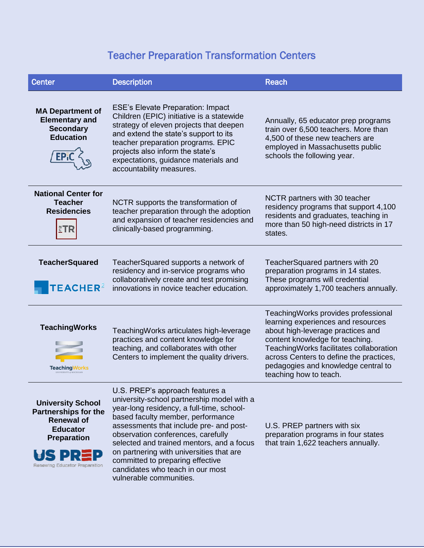## Teacher Preparation Transformation Centers

| <b>Center</b>                                                                                                                                          | <b>Description</b>                                                                                                                                                                                                                                                                                                                                                                                                                           | <b>Reach</b>                                                                                                                                                                                                                                                                                               |
|--------------------------------------------------------------------------------------------------------------------------------------------------------|----------------------------------------------------------------------------------------------------------------------------------------------------------------------------------------------------------------------------------------------------------------------------------------------------------------------------------------------------------------------------------------------------------------------------------------------|------------------------------------------------------------------------------------------------------------------------------------------------------------------------------------------------------------------------------------------------------------------------------------------------------------|
| <b>MA Department of</b><br><b>Elementary and</b><br><b>Secondary</b><br><b>Education</b>                                                               | <b>ESE's Elevate Preparation: Impact</b><br>Children (EPIC) initiative is a statewide<br>strategy of eleven projects that deepen<br>and extend the state's support to its<br>teacher preparation programs. EPIC<br>projects also inform the state's<br>expectations, guidance materials and<br>accountability measures.                                                                                                                      | Annually, 65 educator prep programs<br>train over 6,500 teachers. More than<br>4,500 of these new teachers are<br>employed in Massachusetts public<br>schools the following year.                                                                                                                          |
| <b>National Center for</b><br><b>Teacher</b><br><b>Residencies</b><br>$^{\circ}_{\mathsf{c}}$ tr                                                       | NCTR supports the transformation of<br>teacher preparation through the adoption<br>and expansion of teacher residencies and<br>clinically-based programming.                                                                                                                                                                                                                                                                                 | NCTR partners with 30 teacher<br>residency programs that support 4,100<br>residents and graduates, teaching in<br>more than 50 high-need districts in 17<br>states.                                                                                                                                        |
| <b>TeacherSquared</b><br><b>TEACHER<sup>2</sup></b>                                                                                                    | TeacherSquared supports a network of<br>residency and in-service programs who<br>collaboratively create and test promising<br>innovations in novice teacher education.                                                                                                                                                                                                                                                                       | TeacherSquared partners with 20<br>preparation programs in 14 states.<br>These programs will credential<br>approximately 1,700 teachers annually.                                                                                                                                                          |
| <b>TeachingWorks</b><br><b>Teaching Works</b>                                                                                                          | TeachingWorks articulates high-leverage<br>practices and content knowledge for<br>teaching, and collaborates with other<br>Centers to implement the quality drivers.                                                                                                                                                                                                                                                                         | Teaching Works provides professional<br>learning experiences and resources<br>about high-leverage practices and<br>content knowledge for teaching.<br>Teaching Works facilitates collaboration<br>across Centers to define the practices,<br>pedagogies and knowledge central to<br>teaching how to teach. |
| <b>University School</b><br><b>Partnerships for the</b><br><b>Renewal of</b><br><b>Educator</b><br><b>Preparation</b><br>Renewing Educator Preparation | U.S. PREP's approach features a<br>university-school partnership model with a<br>year-long residency, a full-time, school-<br>based faculty member, performance<br>assessments that include pre- and post-<br>observation conferences, carefully<br>selected and trained mentors, and a focus<br>on partnering with universities that are<br>committed to preparing effective<br>candidates who teach in our most<br>vulnerable communities. | U.S. PREP partners with six<br>preparation programs in four states<br>that train 1,622 teachers annually.                                                                                                                                                                                                  |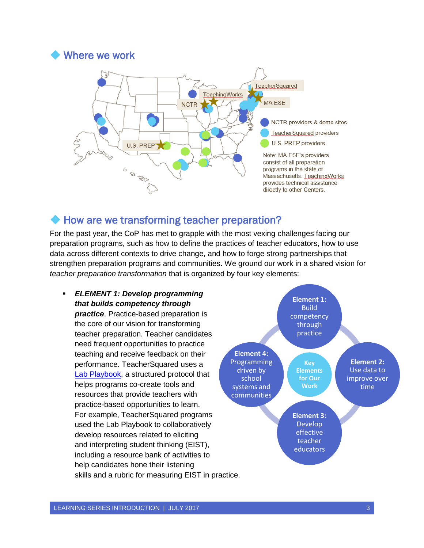

#### How are we transforming teacher preparation?

For the past year, the CoP has met to grapple with the most vexing challenges facing our preparation programs, such as how to define the practices of teacher educators, how to use data across different contexts to drive change, and how to forge strong partnerships that strengthen preparation programs and communities. We ground our work in a shared vision for *teacher preparation transformation* that is organized by four key elements:

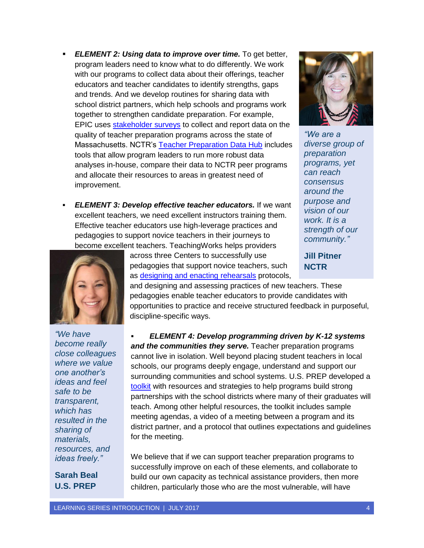- *ELEMENT 2: Using data to improve over time.* To get better, program leaders need to know what to do differently. We work with our programs to collect data about their offerings, teacher educators and teacher candidates to identify strengths, gaps and trends. And we develop routines for sharing data with school district partners, which help schools and programs work together to strengthen candidate preparation. For example, EPIC uses [stakeholder](http://www.doe.mass.edu/edprep/surveys/) surveys to collect and report data on the quality of teacher preparation programs across the state of Massachusetts. NCTR's [Teacher Preparation Data Hub](https://nctresidencies.org/wp-content/uploads/2017/06/NCTRsDataHubOverview.pdf) includes tools that allow program leaders to run more robust data analyses in-house, compare their data to NCTR peer programs and allocate their resources to areas in greatest need of improvement.
- *ELEMENT 3: Develop effective teacher educators.* If we want excellent teachers, we need excellent instructors training them. Effective teacher educators use high-leverage practices and pedagogies to support novice teachers in their journeys to become excellent teachers. TeachingWorks helps providers



*"We are a diverse group of preparation programs, yet can reach consensus around the purpose and vision of our work. It is a strength of our community."*

**Jill Pitner NCTR**



*"We have become really close colleagues where we value one another's ideas and feel safe to be transparent, which has resulted in the sharing of materials, resources, and ideas freely."*

**Sarah Beal U.S. PREP**

across three Centers to successfully use pedagogies that support novice teachers, such as [designing and enacting](https://docs.google.com/viewer?a=v&pid=sites&srcid=ZGVmYXVsdGRvbWFpbnx0cHRja2lja29mZmV2ZW50fGd4OjZmNTE5Zjc3NGQ3MzZjOWU) rehearsals protocols,

and designing and assessing practices of new teachers. These pedagogies enable teacher educators to provide candidates with opportunities to practice and receive structured feedback in purposeful, discipline-specific ways.

 *ELEMENT 4: Develop programming driven by K-12 systems and the communities they serve.* Teacher preparation programs cannot live in isolation. Well beyond placing student teachers in local schools, our programs deeply engage, understand and support our surrounding communities and school systems. U.S. PREP developed a [toolkit](https://sites.google.com/site/usprepschoolpartnerships/assessing-the-partnership) with resources and strategies to help programs build strong partnerships with the school districts where many of their graduates will teach. Among other helpful resources, the toolkit includes sample meeting agendas, a video of a meeting between a program and its district partner, and a protocol that outlines expectations and guidelines for the meeting.

We believe that if we can support teacher preparation programs to successfully improve on each of these elements, and collaborate to build our own capacity as technical assistance providers, then more children, particularly those who are the most vulnerable, will have